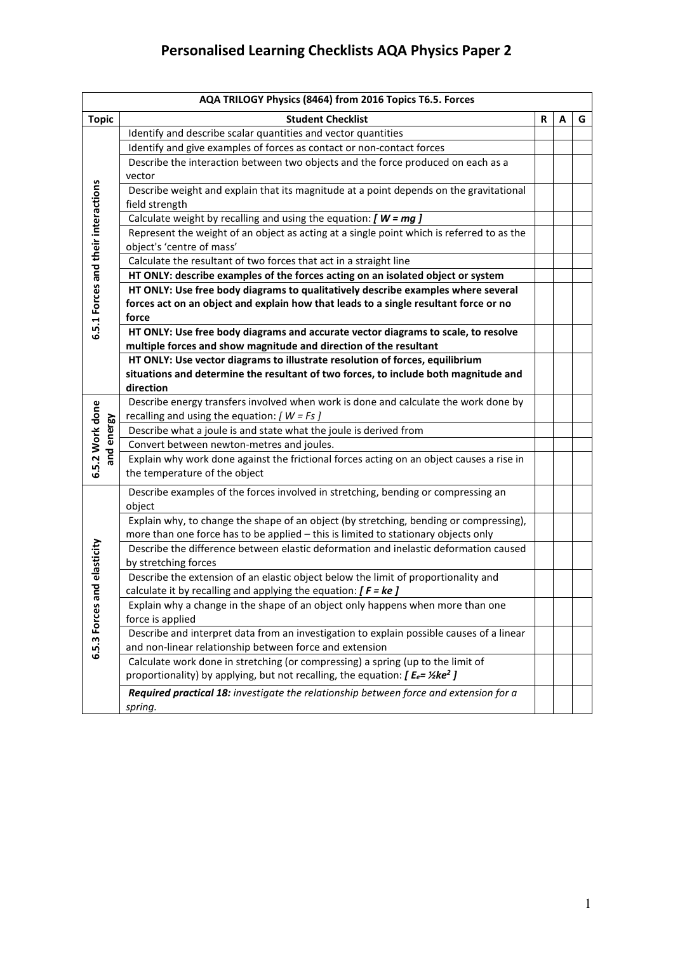|                                     | AQA TRILOGY Physics (8464) from 2016 Topics T6.5. Forces                                           |   |   |   |  |
|-------------------------------------|----------------------------------------------------------------------------------------------------|---|---|---|--|
| <b>Topic</b>                        | <b>Student Checklist</b>                                                                           | R | A | G |  |
|                                     | Identify and describe scalar quantities and vector quantities                                      |   |   |   |  |
|                                     | Identify and give examples of forces as contact or non-contact forces                              |   |   |   |  |
|                                     | Describe the interaction between two objects and the force produced on each as a                   |   |   |   |  |
|                                     | vector                                                                                             |   |   |   |  |
|                                     | Describe weight and explain that its magnitude at a point depends on the gravitational             |   |   |   |  |
|                                     | field strength                                                                                     |   |   |   |  |
|                                     | Calculate weight by recalling and using the equation: $[$ <b>W</b> = $mg$ $]$                      |   |   |   |  |
|                                     | Represent the weight of an object as acting at a single point which is referred to as the          |   |   |   |  |
|                                     | object's 'centre of mass'                                                                          |   |   |   |  |
|                                     | Calculate the resultant of two forces that act in a straight line                                  |   |   |   |  |
|                                     | HT ONLY: describe examples of the forces acting on an isolated object or system                    |   |   |   |  |
| 6.5.1 Forces and their interactions | HT ONLY: Use free body diagrams to qualitatively describe examples where several                   |   |   |   |  |
|                                     | forces act on an object and explain how that leads to a single resultant force or no               |   |   |   |  |
|                                     | force                                                                                              |   |   |   |  |
|                                     | HT ONLY: Use free body diagrams and accurate vector diagrams to scale, to resolve                  |   |   |   |  |
|                                     | multiple forces and show magnitude and direction of the resultant                                  |   |   |   |  |
|                                     | HT ONLY: Use vector diagrams to illustrate resolution of forces, equilibrium                       |   |   |   |  |
|                                     | situations and determine the resultant of two forces, to include both magnitude and                |   |   |   |  |
|                                     | direction                                                                                          |   |   |   |  |
|                                     | Describe energy transfers involved when work is done and calculate the work done by                |   |   |   |  |
|                                     | recalling and using the equation: $[ W = Fs ]$                                                     |   |   |   |  |
| 6.5.2 Work done<br>and energy       | Describe what a joule is and state what the joule is derived from                                  |   |   |   |  |
|                                     | Convert between newton-metres and joules.                                                          |   |   |   |  |
|                                     | Explain why work done against the frictional forces acting on an object causes a rise in           |   |   |   |  |
|                                     | the temperature of the object                                                                      |   |   |   |  |
|                                     | Describe examples of the forces involved in stretching, bending or compressing an                  |   |   |   |  |
|                                     | object                                                                                             |   |   |   |  |
|                                     | Explain why, to change the shape of an object (by stretching, bending or compressing),             |   |   |   |  |
|                                     | more than one force has to be applied - this is limited to stationary objects only                 |   |   |   |  |
|                                     | Describe the difference between elastic deformation and inelastic deformation caused               |   |   |   |  |
|                                     | by stretching forces                                                                               |   |   |   |  |
|                                     | Describe the extension of an elastic object below the limit of proportionality and                 |   |   |   |  |
|                                     | calculate it by recalling and applying the equation: $[ F = ke ]$                                  |   |   |   |  |
|                                     | Explain why a change in the shape of an object only happens when more than one                     |   |   |   |  |
| 6.5.3 Forces and elasticity         | force is applied                                                                                   |   |   |   |  |
|                                     | Describe and interpret data from an investigation to explain possible causes of a linear           |   |   |   |  |
|                                     | and non-linear relationship between force and extension                                            |   |   |   |  |
|                                     | Calculate work done in stretching (or compressing) a spring (up to the limit of                    |   |   |   |  |
|                                     | proportionality) by applying, but not recalling, the equation: $[ E_e = \frac{1}{2} \text{ke}^2 ]$ |   |   |   |  |
|                                     | Required practical 18: investigate the relationship between force and extension for a              |   |   |   |  |
|                                     | spring.                                                                                            |   |   |   |  |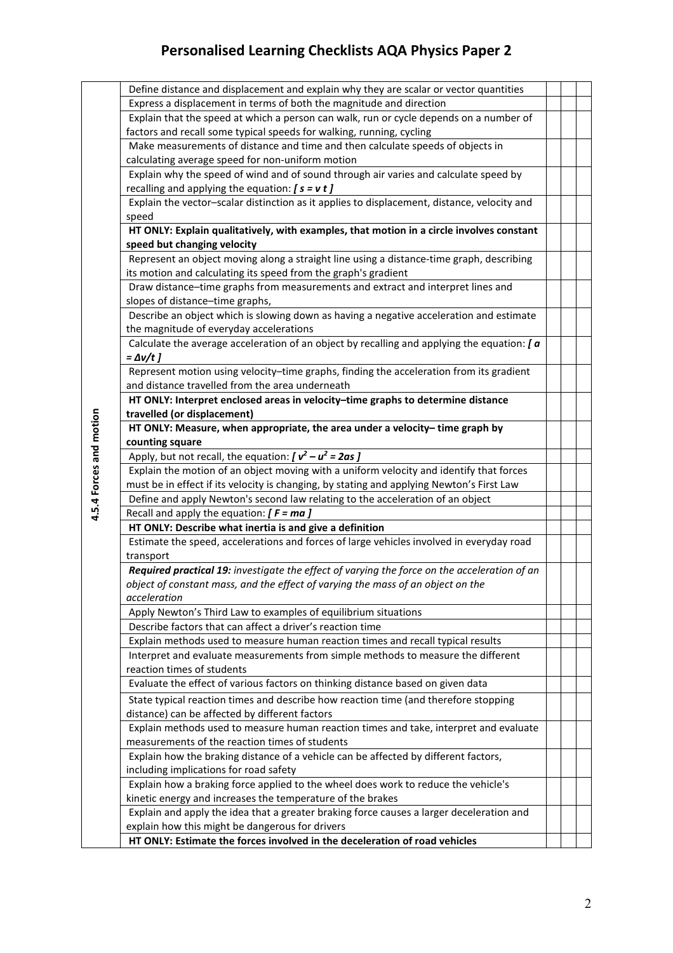## **Personalised Learning Checklists AQA Physics Paper 2**

|                         | Define distance and displacement and explain why they are scalar or vector quantities                                                       |  |  |
|-------------------------|---------------------------------------------------------------------------------------------------------------------------------------------|--|--|
|                         | Express a displacement in terms of both the magnitude and direction                                                                         |  |  |
|                         | Explain that the speed at which a person can walk, run or cycle depends on a number of                                                      |  |  |
|                         | factors and recall some typical speeds for walking, running, cycling                                                                        |  |  |
|                         | Make measurements of distance and time and then calculate speeds of objects in                                                              |  |  |
|                         | calculating average speed for non-uniform motion                                                                                            |  |  |
|                         | Explain why the speed of wind and of sound through air varies and calculate speed by                                                        |  |  |
|                         | recalling and applying the equation: $[s = v t]$                                                                                            |  |  |
|                         | Explain the vector-scalar distinction as it applies to displacement, distance, velocity and                                                 |  |  |
|                         | speed                                                                                                                                       |  |  |
|                         | HT ONLY: Explain qualitatively, with examples, that motion in a circle involves constant                                                    |  |  |
|                         | speed but changing velocity                                                                                                                 |  |  |
|                         | Represent an object moving along a straight line using a distance-time graph, describing                                                    |  |  |
|                         | its motion and calculating its speed from the graph's gradient                                                                              |  |  |
|                         | Draw distance-time graphs from measurements and extract and interpret lines and                                                             |  |  |
|                         | slopes of distance-time graphs,                                                                                                             |  |  |
|                         | Describe an object which is slowing down as having a negative acceleration and estimate                                                     |  |  |
|                         | the magnitude of everyday accelerations                                                                                                     |  |  |
|                         | Calculate the average acceleration of an object by recalling and applying the equation: $\int a$                                            |  |  |
|                         | $= \Delta v/t$ ]                                                                                                                            |  |  |
|                         | Represent motion using velocity-time graphs, finding the acceleration from its gradient                                                     |  |  |
|                         | and distance travelled from the area underneath                                                                                             |  |  |
|                         | HT ONLY: Interpret enclosed areas in velocity-time graphs to determine distance                                                             |  |  |
|                         | travelled (or displacement)                                                                                                                 |  |  |
| 4.5.4 Forces and motion | HT ONLY: Measure, when appropriate, the area under a velocity-time graph by                                                                 |  |  |
|                         | counting square                                                                                                                             |  |  |
|                         | Apply, but not recall, the equation: $[v^2 - u^2 = 2as]$                                                                                    |  |  |
|                         | Explain the motion of an object moving with a uniform velocity and identify that forces                                                     |  |  |
|                         | must be in effect if its velocity is changing, by stating and applying Newton's First Law                                                   |  |  |
|                         | Define and apply Newton's second law relating to the acceleration of an object                                                              |  |  |
|                         | Recall and apply the equation: $[ F = ma ]$                                                                                                 |  |  |
|                         | HT ONLY: Describe what inertia is and give a definition                                                                                     |  |  |
|                         | Estimate the speed, accelerations and forces of large vehicles involved in everyday road                                                    |  |  |
|                         | transport                                                                                                                                   |  |  |
|                         | Required practical 19: investigate the effect of varying the force on the acceleration of an                                                |  |  |
|                         | object of constant mass, and the effect of varying the mass of an object on the                                                             |  |  |
|                         | acceleration                                                                                                                                |  |  |
|                         | Apply Newton's Third Law to examples of equilibrium situations                                                                              |  |  |
|                         | Describe factors that can affect a driver's reaction time                                                                                   |  |  |
|                         | Explain methods used to measure human reaction times and recall typical results                                                             |  |  |
|                         | Interpret and evaluate measurements from simple methods to measure the different                                                            |  |  |
|                         | reaction times of students                                                                                                                  |  |  |
|                         | Evaluate the effect of various factors on thinking distance based on given data                                                             |  |  |
|                         | State typical reaction times and describe how reaction time (and therefore stopping                                                         |  |  |
|                         | distance) can be affected by different factors                                                                                              |  |  |
|                         | Explain methods used to measure human reaction times and take, interpret and evaluate                                                       |  |  |
|                         | measurements of the reaction times of students                                                                                              |  |  |
|                         | Explain how the braking distance of a vehicle can be affected by different factors,                                                         |  |  |
|                         | including implications for road safety                                                                                                      |  |  |
|                         | Explain how a braking force applied to the wheel does work to reduce the vehicle's                                                          |  |  |
|                         | kinetic energy and increases the temperature of the brakes                                                                                  |  |  |
|                         | Explain and apply the idea that a greater braking force causes a larger deceleration and<br>explain how this might be dangerous for drivers |  |  |
|                         | HT ONLY: Estimate the forces involved in the deceleration of road vehicles                                                                  |  |  |
|                         |                                                                                                                                             |  |  |

2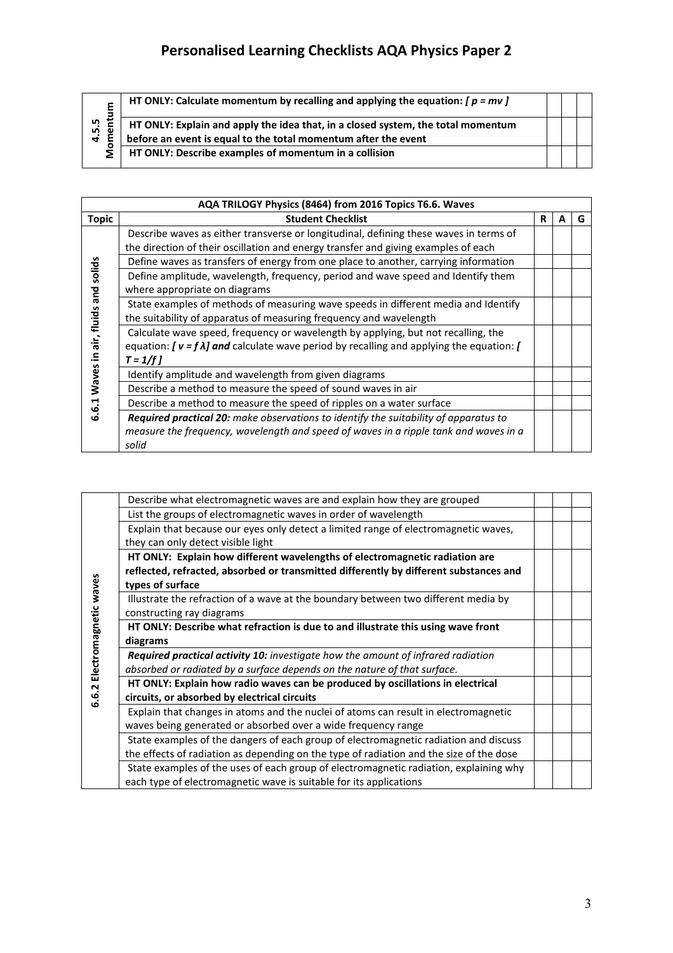## **Personalised Learning Checklists AQA Physics Paper 2**

|                                  | HT ONLY: Calculate momentum by recalling and applying the equation: $[p = mv]$                                                                     |  |  |
|----------------------------------|----------------------------------------------------------------------------------------------------------------------------------------------------|--|--|
| 4.5.5<br>$\overline{\mathbf{c}}$ | HT ONLY: Explain and apply the idea that, in a closed system, the total momentum<br>before an event is equal to the total momentum after the event |  |  |
| $\mathbf{\Omega}$                | HT ONLY: Describe examples of momentum in a collision                                                                                              |  |  |

|                                    | AQA TRILOGY Physics (8464) from 2016 Topics T6.6. Waves                                                                                                                                               |   |   |   |  |
|------------------------------------|-------------------------------------------------------------------------------------------------------------------------------------------------------------------------------------------------------|---|---|---|--|
| <b>Topic</b>                       | <b>Student Checklist</b>                                                                                                                                                                              | R | A | G |  |
| solids<br>and<br>air, fluids<br>≘. | Describe waves as either transverse or longitudinal, defining these waves in terms of<br>the direction of their oscillation and energy transfer and giving examples of each                           |   |   |   |  |
|                                    | Define waves as transfers of energy from one place to another, carrying information                                                                                                                   |   |   |   |  |
|                                    | Define amplitude, wavelength, frequency, period and wave speed and Identify them<br>where appropriate on diagrams                                                                                     |   |   |   |  |
|                                    | State examples of methods of measuring wave speeds in different media and Identify<br>the suitability of apparatus of measuring frequency and wavelength                                              |   |   |   |  |
|                                    | Calculate wave speed, frequency or wavelength by applying, but not recalling, the<br>equation: $[\nu = f \lambda]$ and calculate wave period by recalling and applying the equation: [<br>$T = 1/f l$ |   |   |   |  |
| Waves                              | Identify amplitude and wavelength from given diagrams                                                                                                                                                 |   |   |   |  |
|                                    | Describe a method to measure the speed of sound waves in air                                                                                                                                          |   |   |   |  |
| ų<br>ڥ<br><b>LO</b>                | Describe a method to measure the speed of ripples on a water surface                                                                                                                                  |   |   |   |  |
|                                    | Required practical 20: make observations to identify the suitability of apparatus to<br>measure the frequency, wavelength and speed of waves in a ripple tank and waves in a<br>solid                 |   |   |   |  |

| Describe what electromagnetic waves are and explain how they are grouped                |  |  |
|-----------------------------------------------------------------------------------------|--|--|
| List the groups of electromagnetic waves in order of wavelength                         |  |  |
| Explain that because our eyes only detect a limited range of electromagnetic waves,     |  |  |
| they can only detect visible light                                                      |  |  |
| HT ONLY: Explain how different wavelengths of electromagnetic radiation are             |  |  |
| reflected, refracted, absorbed or transmitted differently by different substances and   |  |  |
| types of surface                                                                        |  |  |
| Illustrate the refraction of a wave at the boundary between two different media by      |  |  |
| constructing ray diagrams                                                               |  |  |
| HT ONLY: Describe what refraction is due to and illustrate this using wave front        |  |  |
| diagrams                                                                                |  |  |
| <b>Required practical activity 10:</b> investigate how the amount of infrared radiation |  |  |
| absorbed or radiated by a surface depends on the nature of that surface.                |  |  |
| HT ONLY: Explain how radio waves can be produced by oscillations in electrical          |  |  |
| circuits, or absorbed by electrical circuits                                            |  |  |
| Explain that changes in atoms and the nuclei of atoms can result in electromagnetic     |  |  |
| waves being generated or absorbed over a wide frequency range                           |  |  |
| State examples of the dangers of each group of electromagnetic radiation and discuss    |  |  |
| the effects of radiation as depending on the type of radiation and the size of the dose |  |  |
| State examples of the uses of each group of electromagnetic radiation, explaining why   |  |  |
| each type of electromagnetic wave is suitable for its applications                      |  |  |
|                                                                                         |  |  |